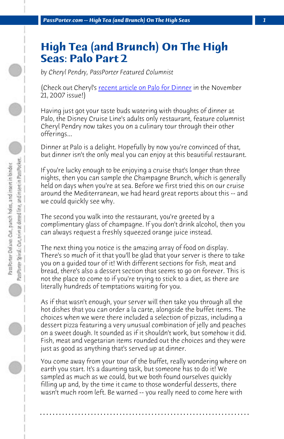**PassPorter.com -- High Tea (and Brunch) On The High Seas** 

## **High Tea (and Brunch) On The High Seas: Palo Part 2**

*by Cheryl Pendry, PassPorter Featured Columnist*

(Check out Cheryl's recent article on Palo for Dinner in the November 21, 2007 issue!)

Having just got your taste buds watering with thoughts of dinner at Palo, the Disney Cruise Line's adults only restaurant, feature columnist Cheryl Pendry now takes you on a culinary tour through their other offerings...

Dinner at Palo is a delight. Hopefully by now you're convinced of that, but dinner isn't the only meal you can enjoy at this beautiful restaurant.

If you're lucky enough to be enjoying a cruise that's longer than three nights, then you can sample the Champagne Brunch, which is generally held on days when you're at sea. Before we first tried this on our cruise around the Mediterranean, we had heard great reports about this -- and we could quickly see why.

The second you walk into the restaurant, you're greeted by a complimentary glass of champagne. If you don't drink alcohol, then you can always request a freshly squeezed orange juice instead.

The next thing you notice is the amazing array of food on display. There's so much of it that you'll be glad that your server is there to take you on a guided tour of it! With different sections for fish, meat and bread, there's also a dessert section that seems to go on forever. This is not the place to come to if you're trying to stick to a diet, as there are literally hundreds of temptations waiting for you.

As if that wasn't enough, your server will then take you through all the hot dishes that you can order a la carte, alongside the buffet items. The choices when we were there included a selection of pizzas, including a dessert pizza featuring a very unusual combination of jelly and peaches on a sweet dough. It sounded as if it shouldn't work, but somehow it did. Fish, meat and vegetarian items rounded out the choices and they were just as good as anything that's served up at dinner.

You come away from your tour of the buffet, really wondering where on earth you start. It's a daunting task, but someone has to do it! We sampled as much as we could, but we both found ourselves quickly filling up and, by the time it came to those wonderful desserts, there wasn't much room left. Be warned -- you really need to come here with

**. . . . . . . . . . . . . . . . . . . . . . . . . . . . . . . . . . . . . . . . . . . . . . . . . . . . . . . . . . . . . . . . . .**

 $\bigcirc$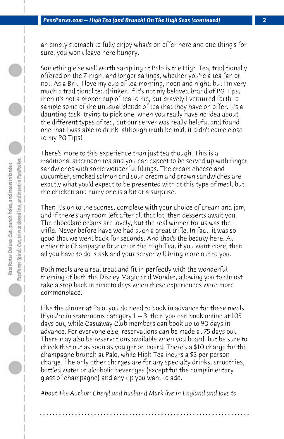an empty stomach to fully enjoy what's on offer here and one thing's for sure, you won't leave here hungry.

Something else well worth sampling at Palo is the High Tea, traditionally offered on the 7-night and longer sailings, whether you're a tea fan or not. As a Brit, I love my cup of tea morning, noon and night, but I'm very much a traditional tea drinker. If it's not my beloved brand of PG Tips, then it's not a proper cup of tea to me, but bravely I ventured forth to sample some of the unusual blends of tea that they have on offer. It's a daunting task, trying to pick one, when you really have no idea about the different types of tea, but our server was really helpful and found one that I was able to drink, although truth be told, it didn't come close to my PG Tips!

There's more to this experience than just tea though. This is a traditional afternoon tea and you can expect to be served up with finger sandwiches with some wonderful fillings. The cream cheese and cucumber, smoked salmon and sour cream and prawn sandwiches are exactly what you'd expect to be presented with at this type of meal, but the chicken and curry one is a bit of a surprise.

Then it's on to the scones, complete with your choice of cream and jam, and if there's any room left after all that lot, then desserts await you. The chocolate eclairs are lovely, but the real winner for us was the trifle. Never before have we had such a great trifle. In fact, it was so good that we went back for seconds. And that's the beauty here. At either the Champagne Brunch or the High Tea, if you want more, then all you have to do is ask and your server will bring more out to you.

Both meals are a real treat and fit in perfectly with the wonderful theming of both the Disney Magic and Wonder, allowing you to almost take a step back in time to days when these experiences were more commonplace.

Like the dinner at Palo, you do need to book in advance for these meals. If you're in staterooms category 1 -- 3, then you can book online at 105 days out, while Castaway Club members can book up to 90 days in advance. For everyone else, reservations can be made at 75 days out. There may also be reservations available when you board, but be sure to check that out as soon as you get on board. There's a \$10 charge for the champagne brunch at Palo, while High Tea incurs a \$5 per person charge. The only other charges are for any specialty drinks, smoothies, bottled water or alcoholic beverages (except for the complimentary glass of champagne) and any tip you want to add.

*About The Author: Cheryl and husband Mark live in England and love to*

**. . . . . . . . . . . . . . . . . . . . . . . . . . . . . . . . . . . . . . . . . . . . . . . . . . . . . . . . . . . . . . . . . .**